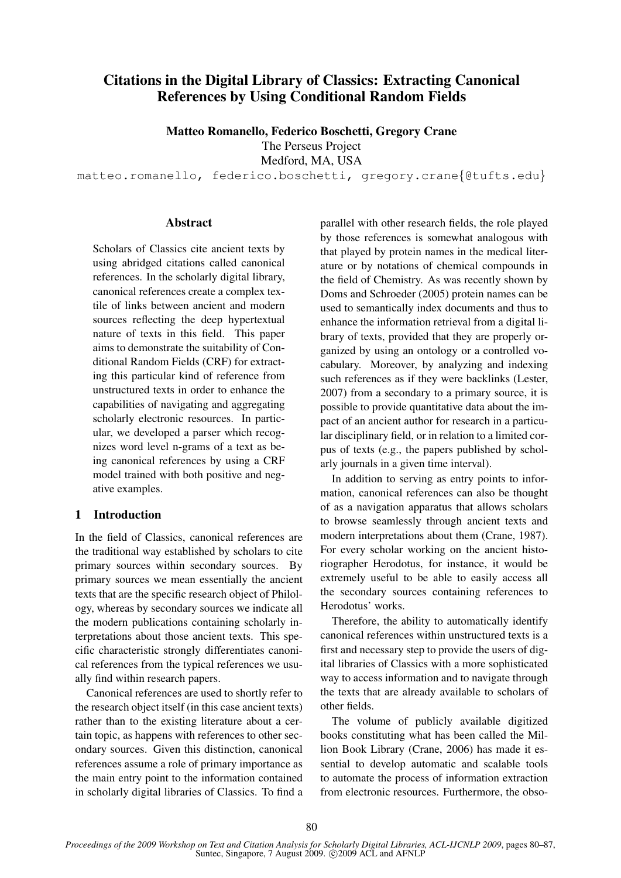# Citations in the Digital Library of Classics: Extracting Canonical References by Using Conditional Random Fields

Matteo Romanello, Federico Boschetti, Gregory Crane

The Perseus Project Medford, MA, USA

matteo.romanello, federico.boschetti, gregory.crane{@tufts.edu}

### Abstract

Scholars of Classics cite ancient texts by using abridged citations called canonical references. In the scholarly digital library, canonical references create a complex textile of links between ancient and modern sources reflecting the deep hypertextual nature of texts in this field. This paper aims to demonstrate the suitability of Conditional Random Fields (CRF) for extracting this particular kind of reference from unstructured texts in order to enhance the capabilities of navigating and aggregating scholarly electronic resources. In particular, we developed a parser which recognizes word level n-grams of a text as being canonical references by using a CRF model trained with both positive and negative examples.

### 1 Introduction

In the field of Classics, canonical references are the traditional way established by scholars to cite primary sources within secondary sources. By primary sources we mean essentially the ancient texts that are the specific research object of Philology, whereas by secondary sources we indicate all the modern publications containing scholarly interpretations about those ancient texts. This specific characteristic strongly differentiates canonical references from the typical references we usually find within research papers.

Canonical references are used to shortly refer to the research object itself (in this case ancient texts) rather than to the existing literature about a certain topic, as happens with references to other secondary sources. Given this distinction, canonical references assume a role of primary importance as the main entry point to the information contained in scholarly digital libraries of Classics. To find a parallel with other research fields, the role played by those references is somewhat analogous with that played by protein names in the medical literature or by notations of chemical compounds in the field of Chemistry. As was recently shown by Doms and Schroeder (2005) protein names can be used to semantically index documents and thus to enhance the information retrieval from a digital library of texts, provided that they are properly organized by using an ontology or a controlled vocabulary. Moreover, by analyzing and indexing such references as if they were backlinks (Lester, 2007) from a secondary to a primary source, it is possible to provide quantitative data about the impact of an ancient author for research in a particular disciplinary field, or in relation to a limited corpus of texts (e.g., the papers published by scholarly journals in a given time interval).

In addition to serving as entry points to information, canonical references can also be thought of as a navigation apparatus that allows scholars to browse seamlessly through ancient texts and modern interpretations about them (Crane, 1987). For every scholar working on the ancient historiographer Herodotus, for instance, it would be extremely useful to be able to easily access all the secondary sources containing references to Herodotus' works.

Therefore, the ability to automatically identify canonical references within unstructured texts is a first and necessary step to provide the users of digital libraries of Classics with a more sophisticated way to access information and to navigate through the texts that are already available to scholars of other fields.

The volume of publicly available digitized books constituting what has been called the Million Book Library (Crane, 2006) has made it essential to develop automatic and scalable tools to automate the process of information extraction from electronic resources. Furthermore, the obso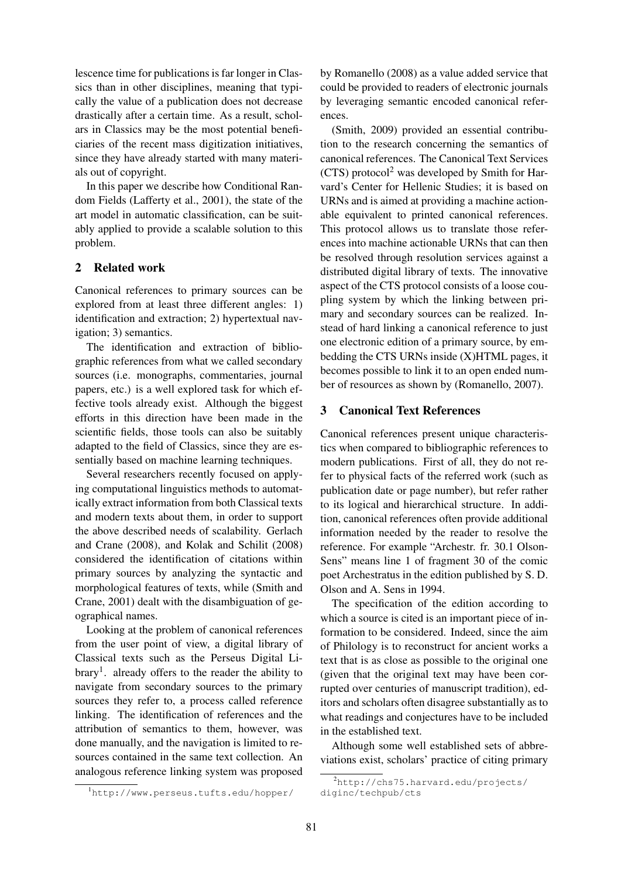lescence time for publications is far longer in Classics than in other disciplines, meaning that typically the value of a publication does not decrease drastically after a certain time. As a result, scholars in Classics may be the most potential beneficiaries of the recent mass digitization initiatives, since they have already started with many materials out of copyright.

In this paper we describe how Conditional Random Fields (Lafferty et al., 2001), the state of the art model in automatic classification, can be suitably applied to provide a scalable solution to this problem.

## 2 Related work

Canonical references to primary sources can be explored from at least three different angles: 1) identification and extraction; 2) hypertextual navigation; 3) semantics.

The identification and extraction of bibliographic references from what we called secondary sources (i.e. monographs, commentaries, journal papers, etc.) is a well explored task for which effective tools already exist. Although the biggest efforts in this direction have been made in the scientific fields, those tools can also be suitably adapted to the field of Classics, since they are essentially based on machine learning techniques.

Several researchers recently focused on applying computational linguistics methods to automatically extract information from both Classical texts and modern texts about them, in order to support the above described needs of scalability. Gerlach and Crane (2008), and Kolak and Schilit (2008) considered the identification of citations within primary sources by analyzing the syntactic and morphological features of texts, while (Smith and Crane, 2001) dealt with the disambiguation of geographical names.

Looking at the problem of canonical references from the user point of view, a digital library of Classical texts such as the Perseus Digital Library<sup>1</sup>. already offers to the reader the ability to navigate from secondary sources to the primary sources they refer to, a process called reference linking. The identification of references and the attribution of semantics to them, however, was done manually, and the navigation is limited to resources contained in the same text collection. An analogous reference linking system was proposed

<sup>1</sup>http://www.perseus.tufts.edu/hopper/

by Romanello (2008) as a value added service that could be provided to readers of electronic journals by leveraging semantic encoded canonical references.

(Smith, 2009) provided an essential contribution to the research concerning the semantics of canonical references. The Canonical Text Services  $(CTS)$  protocol<sup>2</sup> was developed by Smith for Harvard's Center for Hellenic Studies; it is based on URNs and is aimed at providing a machine actionable equivalent to printed canonical references. This protocol allows us to translate those references into machine actionable URNs that can then be resolved through resolution services against a distributed digital library of texts. The innovative aspect of the CTS protocol consists of a loose coupling system by which the linking between primary and secondary sources can be realized. Instead of hard linking a canonical reference to just one electronic edition of a primary source, by embedding the CTS URNs inside (X)HTML pages, it becomes possible to link it to an open ended number of resources as shown by (Romanello, 2007).

### 3 Canonical Text References

Canonical references present unique characteristics when compared to bibliographic references to modern publications. First of all, they do not refer to physical facts of the referred work (such as publication date or page number), but refer rather to its logical and hierarchical structure. In addition, canonical references often provide additional information needed by the reader to resolve the reference. For example "Archestr. fr. 30.1 Olson-Sens" means line 1 of fragment 30 of the comic poet Archestratus in the edition published by S. D. Olson and A. Sens in 1994.

The specification of the edition according to which a source is cited is an important piece of information to be considered. Indeed, since the aim of Philology is to reconstruct for ancient works a text that is as close as possible to the original one (given that the original text may have been corrupted over centuries of manuscript tradition), editors and scholars often disagree substantially as to what readings and conjectures have to be included in the established text.

Although some well established sets of abbreviations exist, scholars' practice of citing primary

 $^{2}$ http://chs75.harvard.edu/projects/ diginc/techpub/cts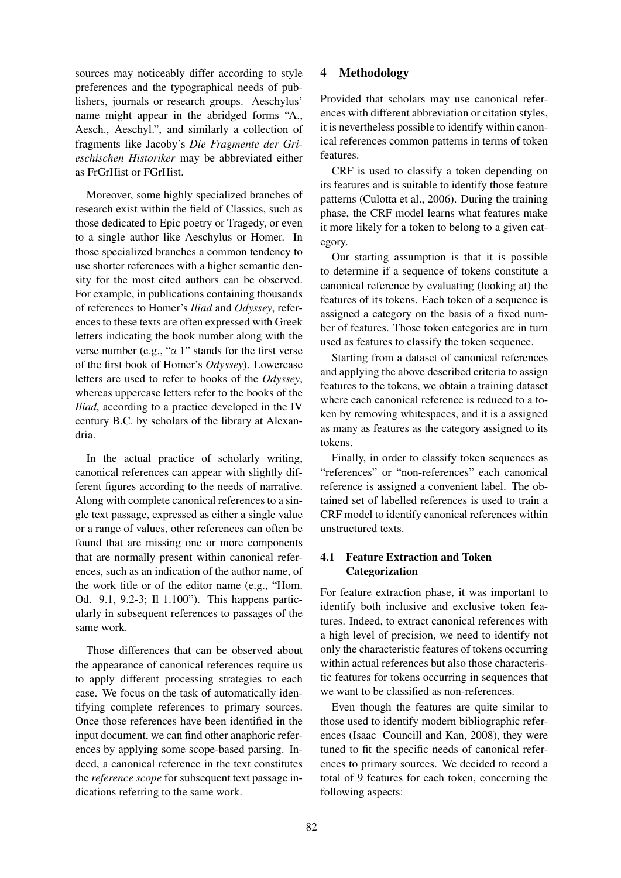sources may noticeably differ according to style preferences and the typographical needs of publishers, journals or research groups. Aeschylus' name might appear in the abridged forms "A., Aesch., Aeschyl.", and similarly a collection of fragments like Jacoby's *Die Fragmente der Grieschischen Historiker* may be abbreviated either as FrGrHist or FGrHist.

Moreover, some highly specialized branches of research exist within the field of Classics, such as those dedicated to Epic poetry or Tragedy, or even to a single author like Aeschylus or Homer. In those specialized branches a common tendency to use shorter references with a higher semantic density for the most cited authors can be observed. For example, in publications containing thousands of references to Homer's *Iliad* and *Odyssey*, references to these texts are often expressed with Greek letters indicating the book number along with the verse number (e.g., " $\alpha$  1" stands for the first verse of the first book of Homer's *Odyssey*). Lowercase letters are used to refer to books of the *Odyssey*, whereas uppercase letters refer to the books of the *Iliad*, according to a practice developed in the IV century B.C. by scholars of the library at Alexandria.

In the actual practice of scholarly writing, canonical references can appear with slightly different figures according to the needs of narrative. Along with complete canonical references to a single text passage, expressed as either a single value or a range of values, other references can often be found that are missing one or more components that are normally present within canonical references, such as an indication of the author name, of the work title or of the editor name (e.g., "Hom. Od. 9.1, 9.2-3; Il 1.100"). This happens particularly in subsequent references to passages of the same work.

Those differences that can be observed about the appearance of canonical references require us to apply different processing strategies to each case. We focus on the task of automatically identifying complete references to primary sources. Once those references have been identified in the input document, we can find other anaphoric references by applying some scope-based parsing. Indeed, a canonical reference in the text constitutes the *reference scope* for subsequent text passage indications referring to the same work.

## 4 Methodology

Provided that scholars may use canonical references with different abbreviation or citation styles, it is nevertheless possible to identify within canonical references common patterns in terms of token features.

CRF is used to classify a token depending on its features and is suitable to identify those feature patterns (Culotta et al., 2006). During the training phase, the CRF model learns what features make it more likely for a token to belong to a given category.

Our starting assumption is that it is possible to determine if a sequence of tokens constitute a canonical reference by evaluating (looking at) the features of its tokens. Each token of a sequence is assigned a category on the basis of a fixed number of features. Those token categories are in turn used as features to classify the token sequence.

Starting from a dataset of canonical references and applying the above described criteria to assign features to the tokens, we obtain a training dataset where each canonical reference is reduced to a token by removing whitespaces, and it is a assigned as many as features as the category assigned to its tokens.

Finally, in order to classify token sequences as "references" or "non-references" each canonical reference is assigned a convenient label. The obtained set of labelled references is used to train a CRF model to identify canonical references within unstructured texts.

# 4.1 Feature Extraction and Token **Categorization**

For feature extraction phase, it was important to identify both inclusive and exclusive token features. Indeed, to extract canonical references with a high level of precision, we need to identify not only the characteristic features of tokens occurring within actual references but also those characteristic features for tokens occurring in sequences that we want to be classified as non-references.

Even though the features are quite similar to those used to identify modern bibliographic references (Isaac Councill and Kan, 2008), they were tuned to fit the specific needs of canonical references to primary sources. We decided to record a total of 9 features for each token, concerning the following aspects: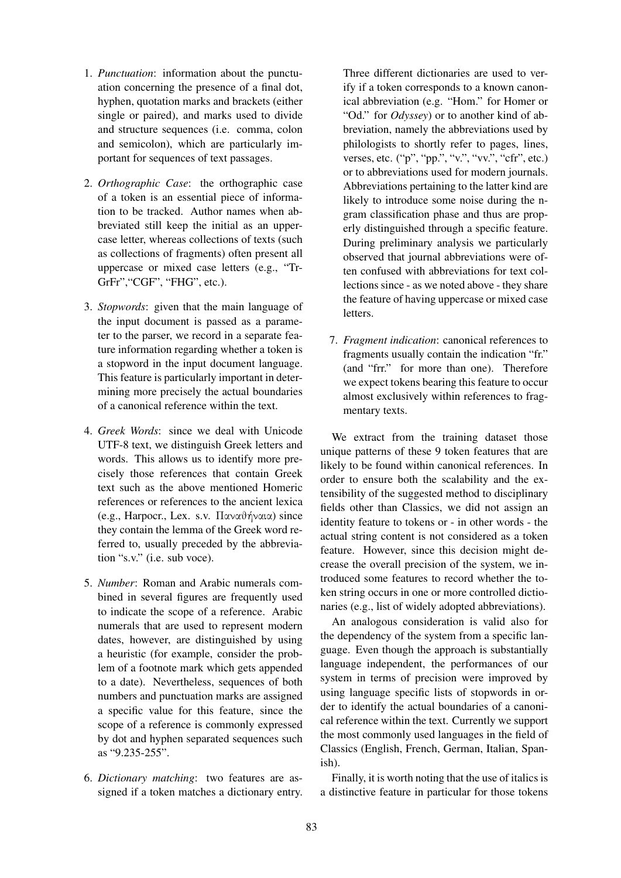- 1. *Punctuation*: information about the punctuation concerning the presence of a final dot, hyphen, quotation marks and brackets (either single or paired), and marks used to divide and structure sequences (i.e. comma, colon and semicolon), which are particularly important for sequences of text passages.
- 2. *Orthographic Case*: the orthographic case of a token is an essential piece of information to be tracked. Author names when abbreviated still keep the initial as an uppercase letter, whereas collections of texts (such as collections of fragments) often present all uppercase or mixed case letters (e.g., "Tr-GrFr","CGF", "FHG", etc.).
- 3. *Stopwords*: given that the main language of the input document is passed as a parameter to the parser, we record in a separate feature information regarding whether a token is a stopword in the input document language. This feature is particularly important in determining more precisely the actual boundaries of a canonical reference within the text.
- 4. *Greek Words*: since we deal with Unicode UTF-8 text, we distinguish Greek letters and words. This allows us to identify more precisely those references that contain Greek text such as the above mentioned Homeric references or references to the ancient lexica (e.g., Harpocr., Lex. s.v. Παναθήναια) since they contain the lemma of the Greek word referred to, usually preceded by the abbreviation "s.v." (i.e. sub voce).
- 5. *Number*: Roman and Arabic numerals combined in several figures are frequently used to indicate the scope of a reference. Arabic numerals that are used to represent modern dates, however, are distinguished by using a heuristic (for example, consider the problem of a footnote mark which gets appended to a date). Nevertheless, sequences of both numbers and punctuation marks are assigned a specific value for this feature, since the scope of a reference is commonly expressed by dot and hyphen separated sequences such as "9.235-255".
- 6. *Dictionary matching*: two features are assigned if a token matches a dictionary entry.

Three different dictionaries are used to verify if a token corresponds to a known canonical abbreviation (e.g. "Hom." for Homer or "Od." for *Odyssey*) or to another kind of abbreviation, namely the abbreviations used by philologists to shortly refer to pages, lines, verses, etc. ("p", "pp.", "v.", "vv.", "cfr", etc.) or to abbreviations used for modern journals. Abbreviations pertaining to the latter kind are likely to introduce some noise during the ngram classification phase and thus are properly distinguished through a specific feature. During preliminary analysis we particularly observed that journal abbreviations were often confused with abbreviations for text collections since - as we noted above - they share the feature of having uppercase or mixed case letters.

7. *Fragment indication*: canonical references to fragments usually contain the indication "fr." (and "frr." for more than one). Therefore we expect tokens bearing this feature to occur almost exclusively within references to fragmentary texts.

We extract from the training dataset those unique patterns of these 9 token features that are likely to be found within canonical references. In order to ensure both the scalability and the extensibility of the suggested method to disciplinary fields other than Classics, we did not assign an identity feature to tokens or - in other words - the actual string content is not considered as a token feature. However, since this decision might decrease the overall precision of the system, we introduced some features to record whether the token string occurs in one or more controlled dictionaries (e.g., list of widely adopted abbreviations).

An analogous consideration is valid also for the dependency of the system from a specific language. Even though the approach is substantially language independent, the performances of our system in terms of precision were improved by using language specific lists of stopwords in order to identify the actual boundaries of a canonical reference within the text. Currently we support the most commonly used languages in the field of Classics (English, French, German, Italian, Spanish).

Finally, it is worth noting that the use of italics is a distinctive feature in particular for those tokens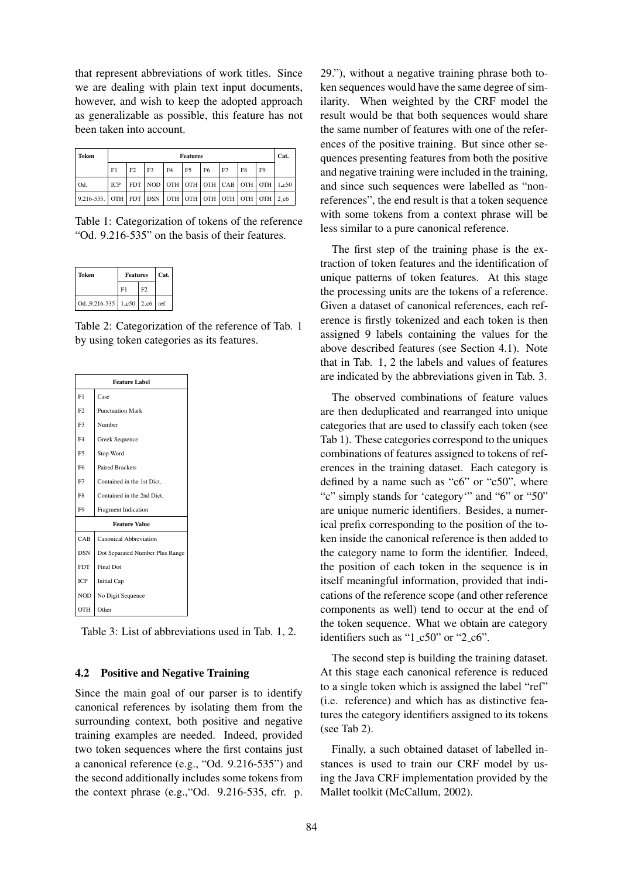that represent abbreviations of work titles. Since we are dealing with plain text input documents, however, and wish to keep the adopted approach as generalizable as possible, this feature has not been taken into account.

| Token                                                           | <b>Features</b> |    |                                                         |                |                |                |    | Cat.           |                |  |
|-----------------------------------------------------------------|-----------------|----|---------------------------------------------------------|----------------|----------------|----------------|----|----------------|----------------|--|
|                                                                 | F1              | F2 | F3                                                      | F <sub>4</sub> | F <sub>5</sub> | F <sub>6</sub> | F7 | F <sub>8</sub> | F <sub>9</sub> |  |
| Od.                                                             | <b>ICP</b>      |    | FDT   NOD   OTH   OTH   OTH   CAB   OTH   OTH   $1.c50$ |                |                |                |    |                |                |  |
| $\vert$ 9.216-535. OTH FDT DSN OTH OTH OTH OTH OTH OTH OTH 2.c6 |                 |    |                                                         |                |                |                |    |                |                |  |

Table 1: Categorization of tokens of the reference "Od. 9.216-535" on the basis of their features.

| Token             | <b>Features</b>           | Cat. |  |
|-------------------|---------------------------|------|--|
|                   | F1                        | F2   |  |
| Od. $9.216 - 535$ | $1-c50$ 2.c6 $\text{ref}$ |      |  |

Table 2: Categorization of the reference of Tab. 1 by using token categories as its features.

| <b>Feature Label</b> |                                 |  |  |  |
|----------------------|---------------------------------|--|--|--|
| F1                   | Case                            |  |  |  |
| F2                   | <b>Punctuation Mark</b>         |  |  |  |
| F3                   | Number                          |  |  |  |
| F <sub>4</sub>       | Greek Sequence                  |  |  |  |
| F <sub>5</sub>       | Stop Word                       |  |  |  |
| F <sub>6</sub>       | <b>Paired Brackets</b>          |  |  |  |
| F7                   | Contained in the 1st Dict.      |  |  |  |
| F <sub>8</sub>       | Contained in the 2nd Dict.      |  |  |  |
| F <sub>9</sub>       | Fragment Indication             |  |  |  |
| <b>Feature Value</b> |                                 |  |  |  |
| CAB                  | Canonical Abbreviation          |  |  |  |
| <b>DSN</b>           | Dot Separated Number Plus Range |  |  |  |
| <b>FDT</b>           | <b>Final Dot</b>                |  |  |  |
| ICP                  | <b>Initial Cap</b>              |  |  |  |
| <b>NOD</b>           | No Digit Sequence               |  |  |  |
| OTH                  | Other                           |  |  |  |

Table 3: List of abbreviations used in Tab. 1, 2.

### 4.2 Positive and Negative Training

Since the main goal of our parser is to identify canonical references by isolating them from the surrounding context, both positive and negative training examples are needed. Indeed, provided two token sequences where the first contains just a canonical reference (e.g., "Od. 9.216-535") and the second additionally includes some tokens from the context phrase (e.g.,"Od. 9.216-535, cfr. p.

29."), without a negative training phrase both token sequences would have the same degree of similarity. When weighted by the CRF model the result would be that both sequences would share the same number of features with one of the references of the positive training. But since other sequences presenting features from both the positive and negative training were included in the training, and since such sequences were labelled as "nonreferences", the end result is that a token sequence with some tokens from a context phrase will be less similar to a pure canonical reference.

The first step of the training phase is the extraction of token features and the identification of unique patterns of token features. At this stage the processing units are the tokens of a reference. Given a dataset of canonical references, each reference is firstly tokenized and each token is then assigned 9 labels containing the values for the above described features (see Section 4.1). Note that in Tab. 1, 2 the labels and values of features are indicated by the abbreviations given in Tab. 3.

The observed combinations of feature values are then deduplicated and rearranged into unique categories that are used to classify each token (see Tab 1). These categories correspond to the uniques combinations of features assigned to tokens of references in the training dataset. Each category is defined by a name such as "c6" or "c50", where "c" simply stands for 'category'" and "6" or "50" are unique numeric identifiers. Besides, a numerical prefix corresponding to the position of the token inside the canonical reference is then added to the category name to form the identifier. Indeed, the position of each token in the sequence is in itself meaningful information, provided that indications of the reference scope (and other reference components as well) tend to occur at the end of the token sequence. What we obtain are category identifiers such as " $1_c50$ " or " $2_c6$ ".

The second step is building the training dataset. At this stage each canonical reference is reduced to a single token which is assigned the label "ref" (i.e. reference) and which has as distinctive features the category identifiers assigned to its tokens (see Tab 2).

Finally, a such obtained dataset of labelled instances is used to train our CRF model by using the Java CRF implementation provided by the Mallet toolkit (McCallum, 2002).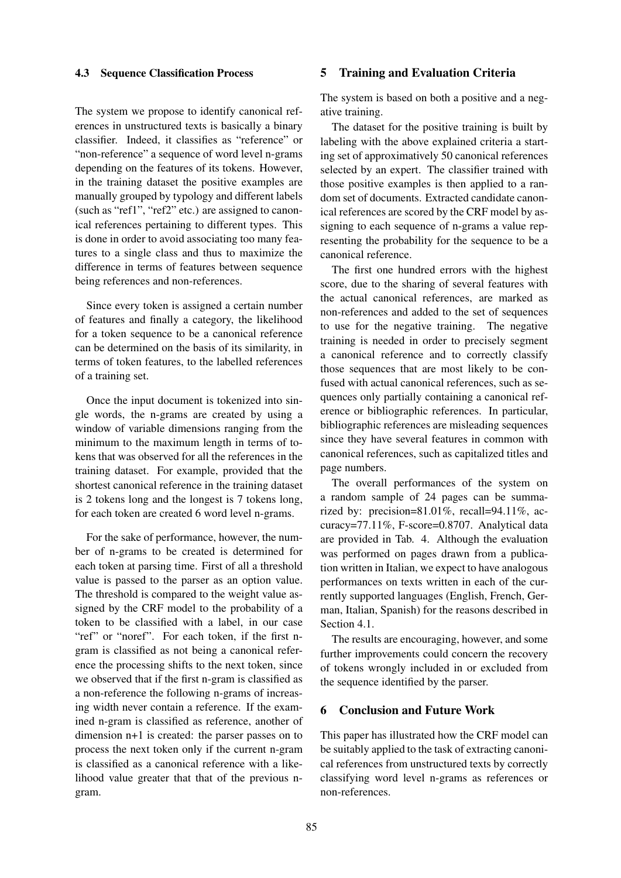### 4.3 Sequence Classification Process

# The system we propose to identify canonical references in unstructured texts is basically a binary classifier. Indeed, it classifies as "reference" or "non-reference" a sequence of word level n-grams depending on the features of its tokens. However, in the training dataset the positive examples are manually grouped by typology and different labels (such as "ref1", "ref2" etc.) are assigned to canonical references pertaining to different types. This is done in order to avoid associating too many features to a single class and thus to maximize the difference in terms of features between sequence being references and non-references.

Since every token is assigned a certain number of features and finally a category, the likelihood for a token sequence to be a canonical reference can be determined on the basis of its similarity, in terms of token features, to the labelled references of a training set.

Once the input document is tokenized into single words, the n-grams are created by using a window of variable dimensions ranging from the minimum to the maximum length in terms of tokens that was observed for all the references in the training dataset. For example, provided that the shortest canonical reference in the training dataset is 2 tokens long and the longest is 7 tokens long, for each token are created 6 word level n-grams.

For the sake of performance, however, the number of n-grams to be created is determined for each token at parsing time. First of all a threshold value is passed to the parser as an option value. The threshold is compared to the weight value assigned by the CRF model to the probability of a token to be classified with a label, in our case "ref" or "noref". For each token, if the first ngram is classified as not being a canonical reference the processing shifts to the next token, since we observed that if the first n-gram is classified as a non-reference the following n-grams of increasing width never contain a reference. If the examined n-gram is classified as reference, another of dimension n+1 is created: the parser passes on to process the next token only if the current n-gram is classified as a canonical reference with a likelihood value greater that that of the previous ngram.

### 5 Training and Evaluation Criteria

The system is based on both a positive and a negative training.

The dataset for the positive training is built by labeling with the above explained criteria a starting set of approximatively 50 canonical references selected by an expert. The classifier trained with those positive examples is then applied to a random set of documents. Extracted candidate canonical references are scored by the CRF model by assigning to each sequence of n-grams a value representing the probability for the sequence to be a canonical reference.

The first one hundred errors with the highest score, due to the sharing of several features with the actual canonical references, are marked as non-references and added to the set of sequences to use for the negative training. The negative training is needed in order to precisely segment a canonical reference and to correctly classify those sequences that are most likely to be confused with actual canonical references, such as sequences only partially containing a canonical reference or bibliographic references. In particular, bibliographic references are misleading sequences since they have several features in common with canonical references, such as capitalized titles and page numbers.

The overall performances of the system on a random sample of 24 pages can be summarized by: precision=81.01%, recall=94.11%, accuracy=77.11%, F-score=0.8707. Analytical data are provided in Tab. 4. Although the evaluation was performed on pages drawn from a publication written in Italian, we expect to have analogous performances on texts written in each of the currently supported languages (English, French, German, Italian, Spanish) for the reasons described in Section 4.1.

The results are encouraging, however, and some further improvements could concern the recovery of tokens wrongly included in or excluded from the sequence identified by the parser.

#### 6 Conclusion and Future Work

This paper has illustrated how the CRF model can be suitably applied to the task of extracting canonical references from unstructured texts by correctly classifying word level n-grams as references or non-references.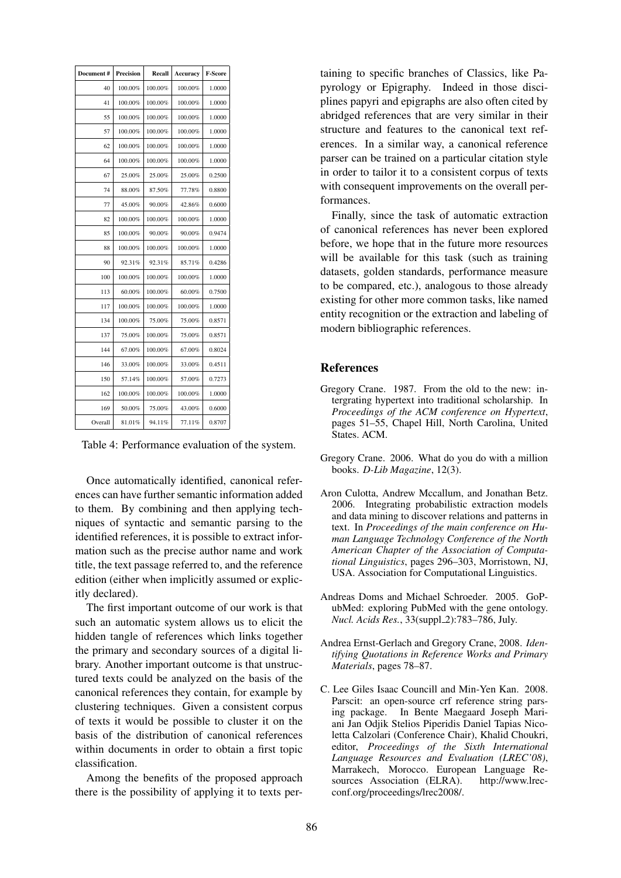| Document # | <b>Precision</b> | Recall  | Accuracy | <b>F-Score</b> |
|------------|------------------|---------|----------|----------------|
| 40         | 100.00%          | 100.00% | 100.00%  | 1.0000         |
| 41         | 100.00%          | 100.00% | 100.00%  | 1.0000         |
| 55         | 100.00%          | 100.00% | 100.00%  | 1.0000         |
| 57         | 100.00%          | 100.00% | 100.00%  | 1.0000         |
| 62         | 100.00%          | 100.00% | 100.00%  | 1.0000         |
| 64         | 100.00%          | 100.00% | 100.00%  | 1.0000         |
| 67         | 25.00%           | 25.00%  | 25.00%   | 0.2500         |
| 74         | 88.00%           | 87.50%  | 77.78%   | 0.8800         |
| 77         | 45.00%           | 90.00%  | 42.86%   | 0.6000         |
| 82         | 100.00%          | 100.00% | 100.00%  | 1.0000         |
| 85         | 100.00%          | 90.00%  | 90.00%   | 0.9474         |
| 88         | 100.00%          | 100.00% | 100.00%  | 1.0000         |
| 90         | 92.31%           | 92.31%  | 85.71%   | 0.4286         |
| 100        | 100.00%          | 100.00% | 100.00%  | 1.0000         |
| 113        | 60.00%           | 100.00% | 60.00%   | 0.7500         |
| 117        | 100.00%          | 100.00% | 100.00%  | 1.0000         |
| 134        | 100.00%          | 75.00%  | 75.00%   | 0.8571         |
| 137        | 75.00%           | 100.00% | 75.00%   | 0.8571         |
| 144        | 67.00%           | 100.00% | 67.00%   | 0.8024         |
| 146        | 33.00%           | 100.00% | 33.00%   | 0.4511         |
| 150        | 57.14%           | 100.00% | 57.00%   | 0.7273         |
| 162        | 100.00%          | 100.00% | 100.00%  | 1.0000         |
| 169        | 50.00%           | 75.00%  | 43.00%   | 0.6000         |
| Overall    | 81.01%           | 94.11%  | 77.11%   | 0.8707         |

Table 4: Performance evaluation of the system.

Once automatically identified, canonical references can have further semantic information added to them. By combining and then applying techniques of syntactic and semantic parsing to the identified references, it is possible to extract information such as the precise author name and work title, the text passage referred to, and the reference edition (either when implicitly assumed or explicitly declared).

The first important outcome of our work is that such an automatic system allows us to elicit the hidden tangle of references which links together the primary and secondary sources of a digital library. Another important outcome is that unstructured texts could be analyzed on the basis of the canonical references they contain, for example by clustering techniques. Given a consistent corpus of texts it would be possible to cluster it on the basis of the distribution of canonical references within documents in order to obtain a first topic classification.

Among the benefits of the proposed approach there is the possibility of applying it to texts pertaining to specific branches of Classics, like Papyrology or Epigraphy. Indeed in those disciplines papyri and epigraphs are also often cited by abridged references that are very similar in their structure and features to the canonical text references. In a similar way, a canonical reference parser can be trained on a particular citation style in order to tailor it to a consistent corpus of texts with consequent improvements on the overall performances.

Finally, since the task of automatic extraction of canonical references has never been explored before, we hope that in the future more resources will be available for this task (such as training datasets, golden standards, performance measure to be compared, etc.), analogous to those already existing for other more common tasks, like named entity recognition or the extraction and labeling of modern bibliographic references.

### References

- Gregory Crane. 1987. From the old to the new: intergrating hypertext into traditional scholarship. In *Proceedings of the ACM conference on Hypertext*, pages 51–55, Chapel Hill, North Carolina, United States. ACM.
- Gregory Crane. 2006. What do you do with a million books. *D-Lib Magazine*, 12(3).
- Aron Culotta, Andrew Mccallum, and Jonathan Betz. 2006. Integrating probabilistic extraction models and data mining to discover relations and patterns in text. In *Proceedings of the main conference on Human Language Technology Conference of the North American Chapter of the Association of Computational Linguistics*, pages 296–303, Morristown, NJ, USA. Association for Computational Linguistics.
- Andreas Doms and Michael Schroeder. 2005. GoPubMed: exploring PubMed with the gene ontology. *Nucl. Acids Res.*, 33(suppl 2):783–786, July.
- Andrea Ernst-Gerlach and Gregory Crane, 2008. *Identifying Quotations in Reference Works and Primary Materials*, pages 78–87.
- C. Lee Giles Isaac Councill and Min-Yen Kan. 2008. Parscit: an open-source crf reference string parsing package. In Bente Maegaard Joseph Mariani Jan Odjik Stelios Piperidis Daniel Tapias Nicoletta Calzolari (Conference Chair), Khalid Choukri, editor, *Proceedings of the Sixth International Language Resources and Evaluation (LREC'08)*, Marrakech, Morocco. European Language Resources Association (ELRA). http://www.lrecconf.org/proceedings/lrec2008/.